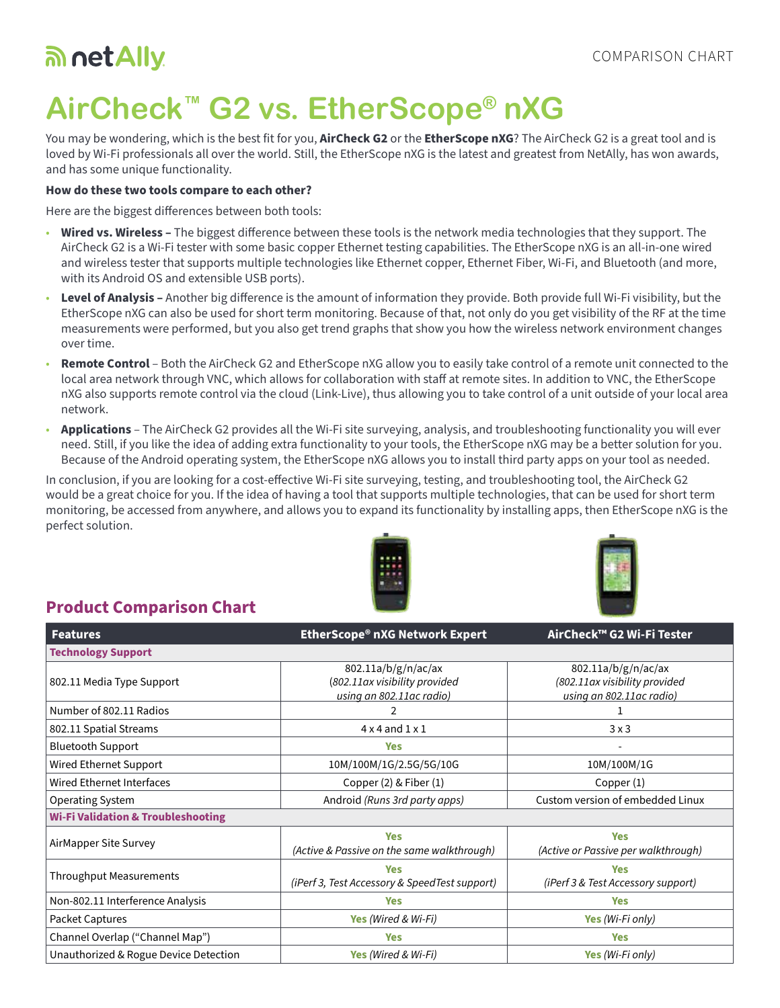## an net Ally

# **AirCheck™ G2 vs. EtherScope® nXG**

You may be wondering, which is the best fit for you, **AirCheck G2** or the **EtherScope nXG**? The AirCheck G2 is a great tool and is loved by Wi-Fi professionals all over the world. Still, the EtherScope nXG is the latest and greatest from NetAlly, has won awards, and has some unique functionality.

#### **How do these two tools compare to each other?**

Here are the biggest differences between both tools:

- **Wired vs. Wireless –** The biggest difference between these tools is the network media technologies that they support. The AirCheck G2 is a Wi-Fi tester with some basic copper Ethernet testing capabilities. The EtherScope nXG is an all-in-one wired and wireless tester that supports multiple technologies like Ethernet copper, Ethernet Fiber, Wi-Fi, and Bluetooth (and more, with its Android OS and extensible USB ports).
- **Level of Analysis** Another big difference is the amount of information they provide. Both provide full Wi-Fi visibility, but the EtherScope nXG can also be used for short term monitoring. Because of that, not only do you get visibility of the RF at the time measurements were performed, but you also get trend graphs that show you how the wireless network environment changes over time.
- **Remote Control**  Both the AirCheck G2 and EtherScope nXG allow you to easily take control of a remote unit connected to the local area network through VNC, which allows for collaboration with staff at remote sites. In addition to VNC, the EtherScope nXG also supports remote control via the cloud (Link-Live), thus allowing you to take control of a unit outside of your local area network.
- **Applications**  The AirCheck G2 provides all the Wi-Fi site surveying, analysis, and troubleshooting functionality you will ever need. Still, if you like the idea of adding extra functionality to your tools, the EtherScope nXG may be a better solution for you. Because of the Android operating system, the EtherScope nXG allows you to install third party apps on your tool as needed.

In conclusion, if you are looking for a cost-effective Wi-Fi site surveying, testing, and troubleshooting tool, the AirCheck G2 would be a great choice for you. If the idea of having a tool that supports multiple technologies, that can be used for short term monitoring, be accessed from anywhere, and allows you to expand its functionality by installing apps, then EtherScope nXG is the perfect solution.





### **Product Comparison Chart**

| <b>Features</b>                               | EtherScope® nXG Network Expert                                                   | AirCheck™ G2 Wi-Fi Tester                                                        |
|-----------------------------------------------|----------------------------------------------------------------------------------|----------------------------------------------------------------------------------|
| <b>Technology Support</b>                     |                                                                                  |                                                                                  |
| 802.11 Media Type Support                     | 802.11a/b/g/n/ac/ax<br>(802.11ax visibility provided<br>using an 802.11ac radio) | 802.11a/b/g/n/ac/ax<br>(802.11ax visibility provided<br>using an 802.11ac radio) |
| Number of 802.11 Radios                       |                                                                                  |                                                                                  |
| 802.11 Spatial Streams                        | $4 \times 4$ and $1 \times 1$                                                    | 3x3                                                                              |
| <b>Bluetooth Support</b>                      | <b>Yes</b>                                                                       |                                                                                  |
| Wired Ethernet Support                        | 10M/100M/1G/2.5G/5G/10G                                                          | 10M/100M/1G                                                                      |
| Wired Ethernet Interfaces                     | Copper (2) & Fiber (1)                                                           | Copper (1)                                                                       |
| Operating System                              | Android (Runs 3rd party apps)                                                    | Custom version of embedded Linux                                                 |
| <b>Wi-Fi Validation &amp; Troubleshooting</b> |                                                                                  |                                                                                  |
| AirMapper Site Survey                         | <b>Yes</b><br>(Active & Passive on the same walkthrough)                         | <b>Yes</b><br>(Active or Passive per walkthrough)                                |
| <b>Throughput Measurements</b>                | <b>Yes</b><br>(iPerf 3, Test Accessory & SpeedTest support)                      | <b>Yes</b><br>(iPerf 3 & Test Accessory support)                                 |
| Non-802.11 Interference Analysis              | <b>Yes</b>                                                                       | <b>Yes</b>                                                                       |
| Packet Captures                               | Yes (Wired & Wi-Fi)                                                              | Yes (Wi-Fi only)                                                                 |
| Channel Overlap ("Channel Map")               | <b>Yes</b>                                                                       | <b>Yes</b>                                                                       |
| Unauthorized & Rogue Device Detection         | Yes (Wired & Wi-Fi)                                                              | Yes (Wi-Fi only)                                                                 |